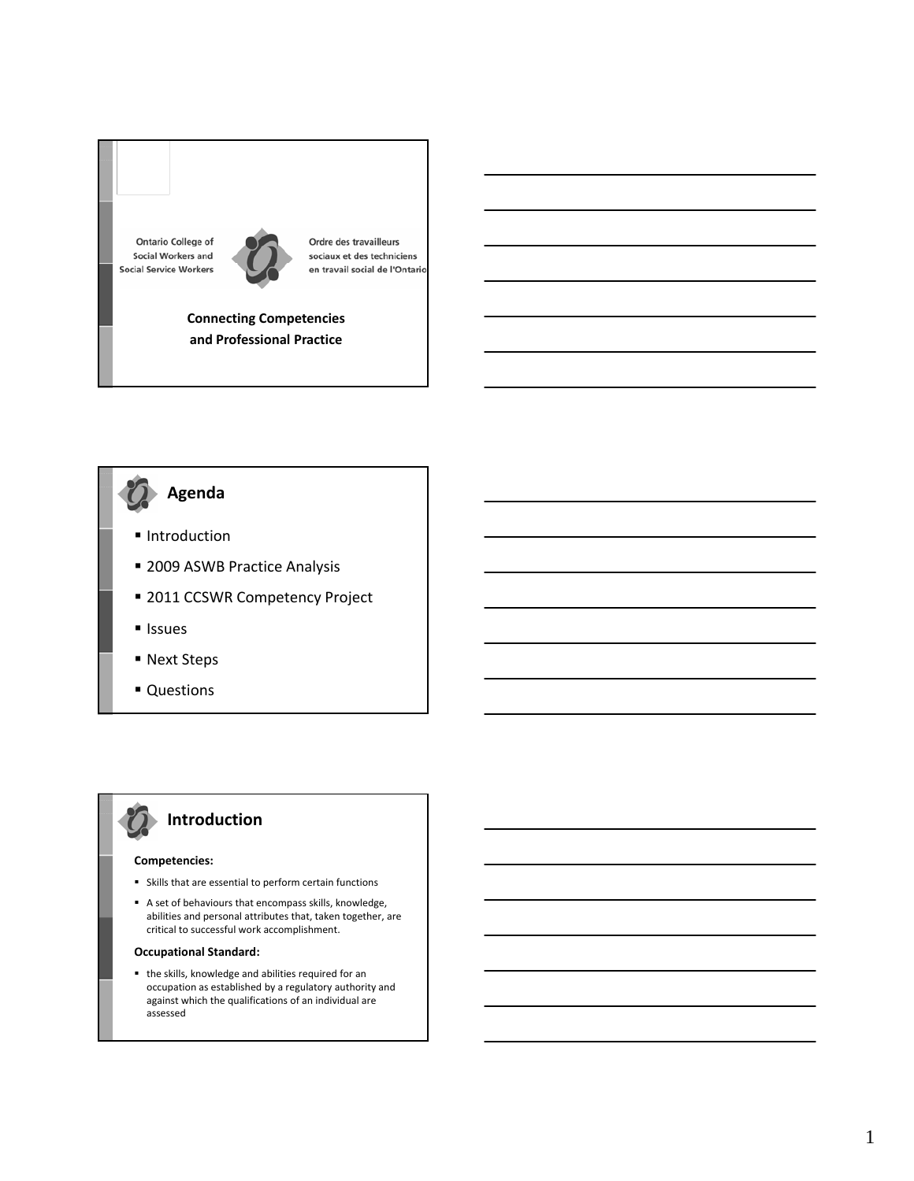**Ontario College of Social Workers and Social Service Workers** 



Ordre des travailleurs sociaux et des techniciens en travail social de l'Ontario

**Connecting Competencies and Professional Practice**

# **Agenda**

- Introduction
- **2009 ASWB Practice Analysis**
- **2011 CCSWR Competency Project**
- **Issues**
- Next Steps
- **Questions**

# **Introduction**

#### **Competencies:**

- Skills that are essential to perform certain functions
- A set of behaviours that encompass skills, knowledge, abilities and personal attributes that, taken together, are critical to successful work accomplishment.

#### **Occupational Standard:**

 the skills, knowledge and abilities required for an occupation as established by a regulatory authority and against which the qualifications of an individual are assessed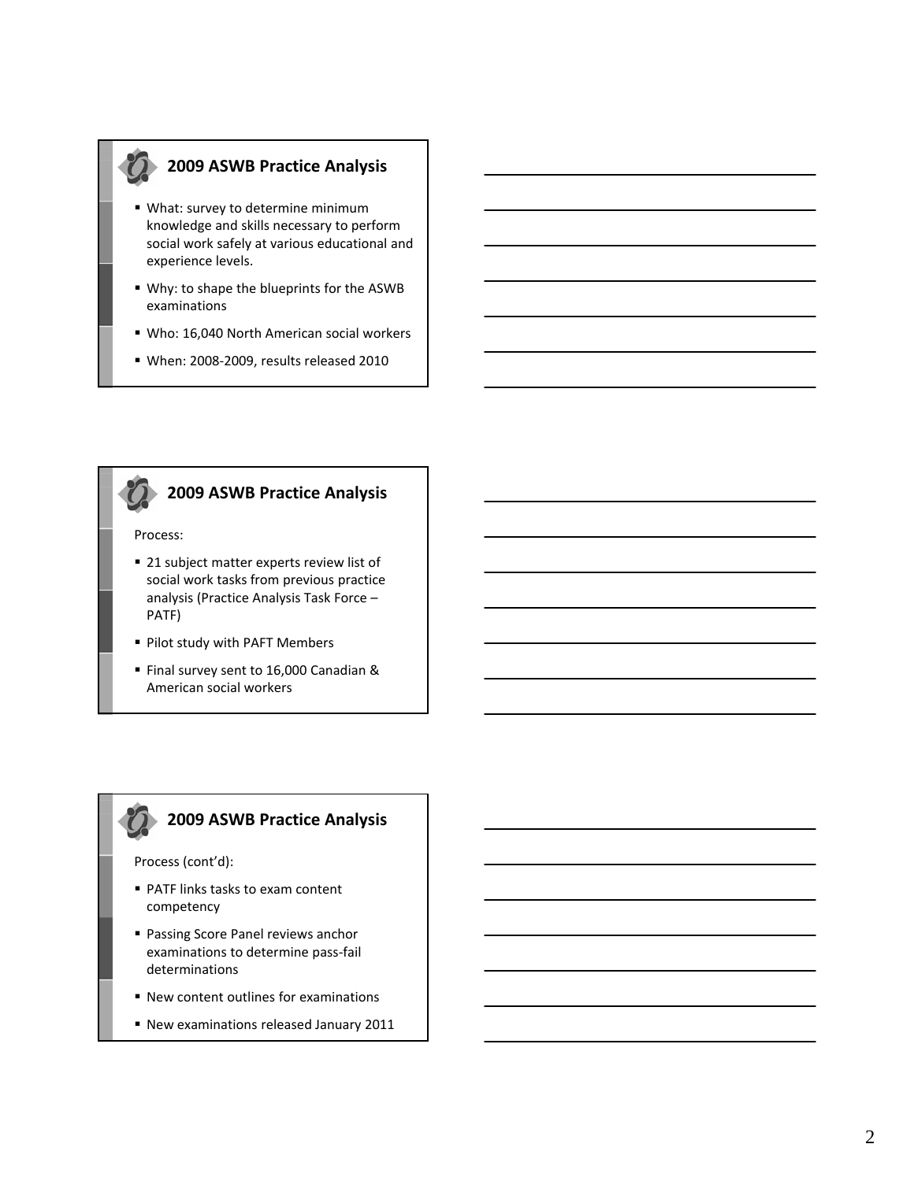# **2009 ASWB Practice Analysis**

- What: survey to determine minimum knowledge and skills necessary to perform social work safely at various educational and experience levels.
- Why: to shape the blueprints for the ASWB examinations
- Who: 16,040 North American social workers
- When: 2008-2009, results released 2010



# **2009 ASWB Practice Analysis**

### Process:

- 21 subject matter experts review list of social work tasks from previous practice analysis (Practice Analysis Task Force – PATF)
- **Pilot study with PAFT Members**
- Final survey sent to 16,000 Canadian & American social workers

# **2009 ASWB Practice Analysis**

Process (cont'd):

- PATF links tasks to exam content competency
- Passing Score Panel reviews anchor examinations to determine pass‐fail determinations
- New content outlines for examinations
- New examinations released January 2011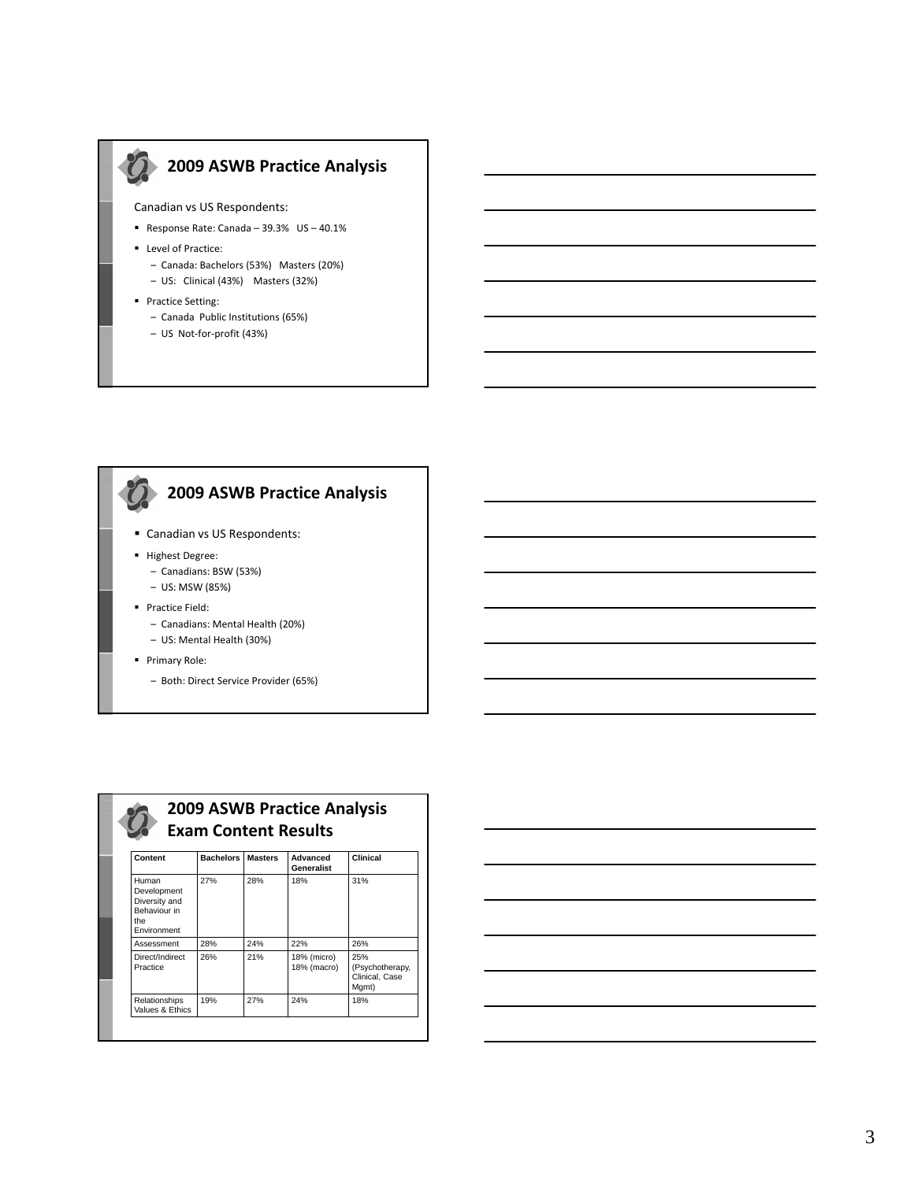

Canadian vs US Respondents:

- Response Rate: Canada 39.3% US 40.1%
- **Level of Practice:** 
	- Canada: Bachelors (53%) Masters (20%) – US: Clinical (43%) Masters (32%)
- **Practice Setting:** 
	- Canada Public Institutions (65%)
	- US Not‐for‐profit (43%)



# **2009 ASWB Practice Analysis**

- Canadian vs US Respondents:
- **Highest Degree:** 
	- Canadians: BSW (53%)
	- US: MSW (85%)
- **Practice Field:** 
	- Canadians: Mental Health (20%) – US: Mental Health (30%)
- **Primary Role:** 
	- Both: Direct Service Provider (65%)

| Content                                                                     | <b>Bachelors</b> | <b>Masters</b> | Advanced<br>Generalist     | Clinical                                          |
|-----------------------------------------------------------------------------|------------------|----------------|----------------------------|---------------------------------------------------|
| Human<br>Development<br>Diversity and<br>Behaviour in<br>the<br>Environment | 27%              | 28%            | 18%                        | 31%                                               |
| Assessment                                                                  | 28%              | 24%            | 22%                        | 26%                                               |
| Direct/Indirect<br>Practice                                                 | 26%              | 21%            | 18% (micro)<br>18% (macro) | 25%<br>(Psychotherapy,<br>Clinical, Case<br>Mgmt) |
| Relationships<br>Values & Ethics                                            | 19%              | 27%            | 24%                        | 18%                                               |

**2009 ASWB Practice Analysis**

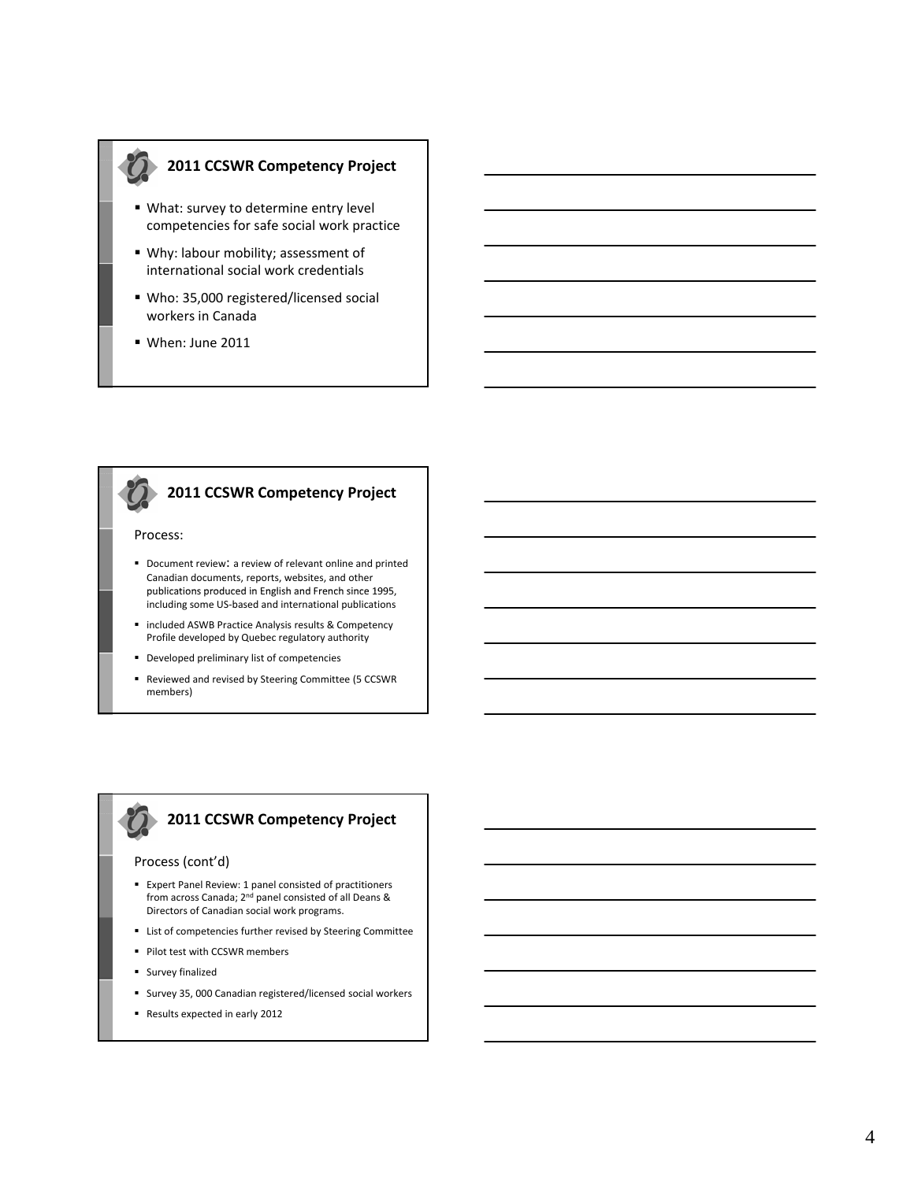### **2011 CCSWR Competency Project**

- What: survey to determine entry level competencies for safe social work practice
- Why: labour mobility; assessment of international social work credentials
- Who: 35,000 registered/licensed social workers in Canada
- When: June 2011

#### Process:

Document review: a review of relevant online and printed Canadian documents, reports, websites, and other publications produced in English and French since 1995, including some US‐based and international publications

**2011 CCSWR Competency Project**

- **E** included ASWB Practice Analysis results & Competency Profile developed by Quebec regulatory authority
- Developed preliminary list of competencies
- Reviewed and revised by Steering Committee (5 CCSWR members)

## **2011 CCSWR Competency Project**

#### Process (cont'd)

- Expert Panel Review: 1 panel consisted of practitioners from across Canada; 2nd panel consisted of all Deans & Directors of Canadian social work programs.
- **EXECT** List of competencies further revised by Steering Committee
- **Pilot test with CCSWR members**
- **Survey finalized**
- Survey 35, 000 Canadian registered/licensed social workers
- Results expected in early 2012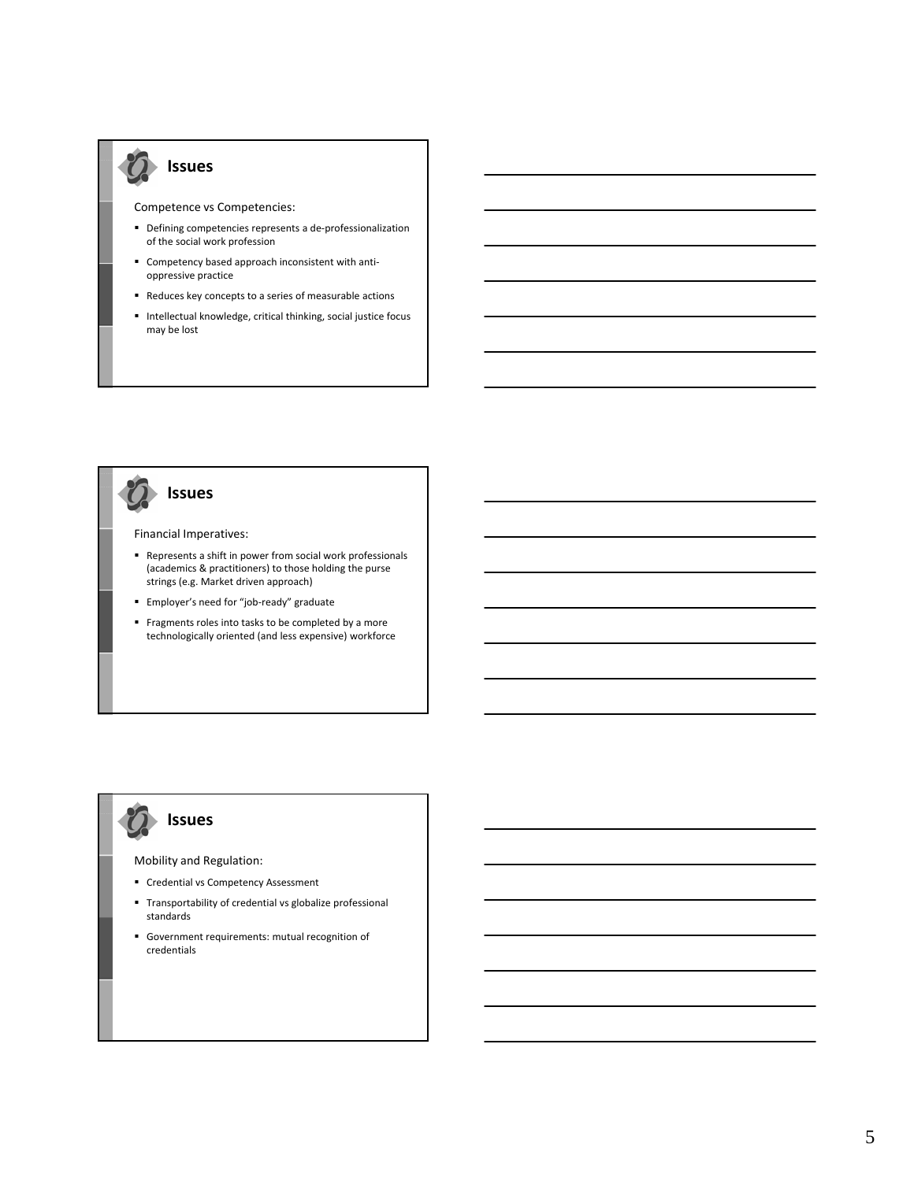### **Issues**

Competence vs Competencies:

- Defining competencies represents a de-professionalization of the social work profession
- Competency based approach inconsistent with antioppressive practice
- Reduces key concepts to a series of measurable actions
- Intellectual knowledge, critical thinking, social justice focus may be lost

# **Issues**

#### Financial Imperatives:

- Represents a shift in power from social work professionals (academics & practitioners) to those holding the purse strings (e.g. Market driven approach)
- Employer's need for "job-ready" graduate
- Fragments roles into tasks to be completed by a more technologically oriented (and less expensive) workforce

# **Issues**

#### Mobility and Regulation:

- **Credential vs Competency Assessment**
- Transportability of credential vs globalize professional standards
- Government requirements: mutual recognition of credentials